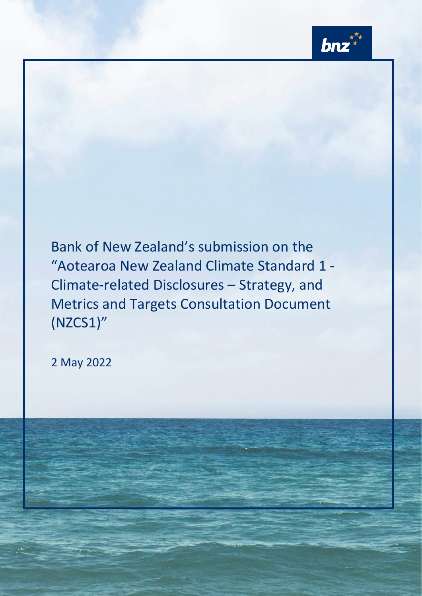

Bank of New Zealand's submission on the "Aotearoa New Zealand Climate Standard 1 - Climate-related Disclosures – Strategy, and Metrics and Targets Consultation Document (NZCS1)"

2 May 2022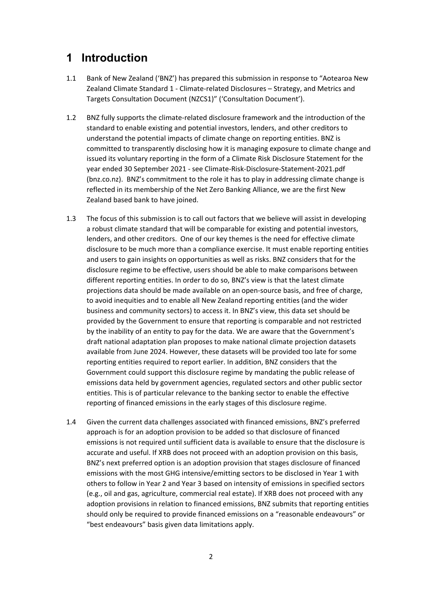# **1 Introduction**

- 1.1 Bank of New Zealand ('BNZ') has prepared this submission in response to "Aotearoa New Zealand Climate Standard 1 - Climate-related Disclosures – Strategy, and Metrics and Targets Consultation Document (NZCS1)" ('Consultation Document').
- 1.2 BNZ fully supports the climate-related disclosure framework and the introduction of the standard to enable existing and potential investors, lenders, and other creditors to understand the potential impacts of climate change on reporting entities. BNZ is committed to transparently disclosing how it is managing exposure to climate change and issued its voluntary reporting in the form of a Climate Risk Disclosure Statement for the year ended 30 September 2021 - see [Climate-Risk-Disclosure-Statement-2021.pdf](https://www.bnz.co.nz/assets/bnz/about-us/PDFs/Climate-Risk-Disclosure-Statement-2021.pdf?b6223ce24b51cb22f05769a8ffcefe450ac1ab8f)  [\(bnz.co.nz\).](https://www.bnz.co.nz/assets/bnz/about-us/PDFs/Climate-Risk-Disclosure-Statement-2021.pdf?b6223ce24b51cb22f05769a8ffcefe450ac1ab8f) BNZ's commitment to the role it has to play in addressing climate change is reflected in its membership of the Net Zero Banking Alliance, we are the first New Zealand based bank to have joined.
- 1.3 The focus of this submission is to call out factors that we believe will assist in developing a robust climate standard that will be comparable for existing and potential investors, lenders, and other creditors. One of our key themes is the need for effective climate disclosure to be much more than a compliance exercise. It must enable reporting entities and users to gain insights on opportunities as well as risks. BNZ considers that for the disclosure regime to be effective, users should be able to make comparisons between different reporting entities. In order to do so, BNZ's view is that the latest climate projections data should be made available on an open-source basis, and free of charge, to avoid inequities and to enable all New Zealand reporting entities (and the wider business and community sectors) to access it. In BNZ's view, this data set should be provided by the Government to ensure that reporting is comparable and not restricted by the inability of an entity to pay for the data. We are aware that the Government's draft national adaptation plan proposes to make national climate projection datasets available from June 2024. However, these datasets will be provided too late for some reporting entities required to report earlier. In addition, BNZ considers that the Government could support this disclosure regime by mandating the public release of emissions data held by government agencies, regulated sectors and other public sector entities. This is of particular relevance to the banking sector to enable the effective reporting of financed emissions in the early stages of this disclosure regime.
- 1.4 Given the current data challenges associated with financed emissions, BNZ's preferred approach is for an adoption provision to be added so that disclosure of financed emissions is not required until sufficient data is available to ensure that the disclosure is accurate and useful. If XRB does not proceed with an adoption provision on this basis, BNZ's next preferred option is an adoption provision that stages disclosure of financed emissions with the most GHG intensive/emitting sectors to be disclosed in Year 1 with others to follow in Year 2 and Year 3 based on intensity of emissions in specified sectors (e.g., oil and gas, agriculture, commercial real estate). If XRB does not proceed with any adoption provisions in relation to financed emissions, BNZ submits that reporting entities should only be required to provide financed emissions on a "reasonable endeavours" or "best endeavours" basis given data limitations apply.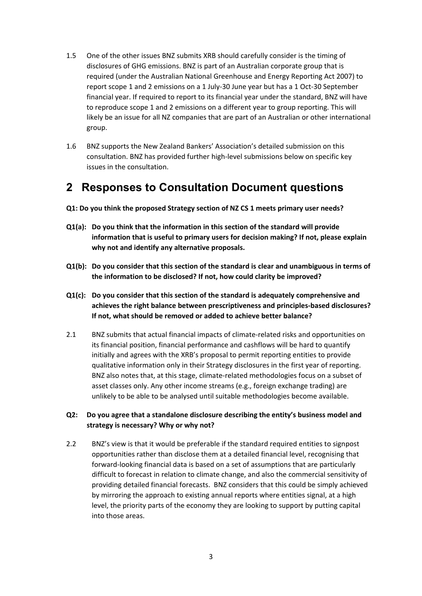- 1.5 One of the other issues BNZ submits XRB should carefully consider is the timing of disclosures of GHG emissions. BNZ is part of an Australian corporate group that is required (under the Australian National Greenhouse and Energy Reporting Act 2007) to report scope 1 and 2 emissions on a 1 July-30 June year but has a 1 Oct-30 September financial year. If required to report to its financial year under the standard, BNZ will have to reproduce scope 1 and 2 emissions on a different year to group reporting. This will likely be an issue for all NZ companies that are part of an Australian or other international group.
- 1.6 BNZ supports the New Zealand Bankers' Association's detailed submission on this consultation. BNZ has provided further high-level submissions below on specific key issues in the consultation.

# **2 Responses to Consultation Document questions**

- **Q1: Do you think the proposed Strategy section of NZ CS 1 meets primary user needs?**
- **Q1(a): Do you think that the information in this section of the standard will provide information that is useful to primary users for decision making? If not, please explain why not and identify any alternative proposals.**
- **Q1(b): Do you consider that this section of the standard is clear and unambiguous in terms of the information to be disclosed? If not, how could clarity be improved?**
- **Q1(c): Do you consider that this section of the standard is adequately comprehensive and achieves the right balance between prescriptiveness and principles-based disclosures? If not, what should be removed or added to achieve better balance?**
- 2.1 BNZ submits that actual financial impacts of climate-related risks and opportunities on its financial position, financial performance and cashflows will be hard to quantify initially and agrees with the XRB's proposal to permit reporting entities to provide qualitative information only in their Strategy disclosures in the first year of reporting. BNZ also notes that, at this stage, climate-related methodologies focus on a subset of asset classes only. Any other income streams (e.g., foreign exchange trading) are unlikely to be able to be analysed until suitable methodologies become available.

# **Q2: Do you agree that a standalone disclosure describing the entity's business model and strategy is necessary? Why or why not?**

2.2 BNZ's view is that it would be preferable if the standard required entities to signpost opportunities rather than disclose them at a detailed financial level, recognising that forward-looking financial data is based on a set of assumptions that are particularly difficult to forecast in relation to climate change, and also the commercial sensitivity of providing detailed financial forecasts. BNZ considers that this could be simply achieved by mirroring the approach to existing annual reports where entities signal, at a high level, the priority parts of the economy they are looking to support by putting capital into those areas.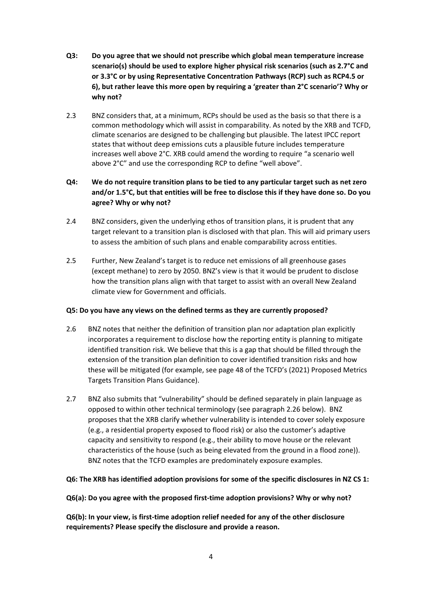- **Q3: Do you agree that we should not prescribe which global mean temperature increase scenario(s) should be used to explore higher physical risk scenarios (such as 2.7°C and or 3.3°C or by using Representative Concentration Pathways (RCP) such as RCP4.5 or 6), but rather leave this more open by requiring a 'greater than 2°C scenario'? Why or why not?**
- 2.3 BNZ considers that, at a minimum, RCPs should be used as the basis so that there is a common methodology which will assist in comparability. As noted by the XRB and TCFD, climate scenarios are designed to be challenging but plausible. The latest IPCC report states that without deep emissions cuts a plausible future includes temperature increases well above 2°C. XRB could amend the wording to require "a scenario well above 2°C" and use the corresponding RCP to define "well above".

# **Q4: We do not require transition plans to be tied to any particular target such as net zero and/or 1.5°C, but that entities will be free to disclose this if they have done so. Do you agree? Why or why not?**

- 2.4 BNZ considers, given the underlying ethos of transition plans, it is prudent that any target relevant to a transition plan is disclosed with that plan. This will aid primary users to assess the ambition of such plans and enable comparability across entities.
- 2.5 Further, New Zealand's target is to reduce net emissions of all greenhouse gases (except methane) to zero by 2050. BNZ's view is that it would be prudent to disclose how the transition plans align with that target to assist with an overall New Zealand climate view for Government and officials.

#### **Q5: Do you have any views on the defined terms as they are currently proposed?**

- 2.6 BNZ notes that neither the definition of transition plan nor adaptation plan explicitly incorporates a requirement to disclose how the reporting entity is planning to mitigate identified transition risk. We believe that this is a gap that should be filled through the extension of the transition plan definition to cover identified transition risks and how these will be mitigated (for example, see page 48 of the TCFD's (2021) Proposed Metrics Targets Transition Plans Guidance).
- 2.7 BNZ also submits that "vulnerability" should be defined separately in plain language as opposed to within other technical terminology (see paragraph 2.26 below). BNZ proposes that the XRB clarify whether vulnerability is intended to cover solely exposure (e.g., a residential property exposed to flood risk) or also the customer's adaptive capacity and sensitivity to respond (e.g., their ability to move house or the relevant characteristics of the house (such as being elevated from the ground in a flood zone)). BNZ notes that the TCFD examples are predominately exposure examples.

#### **Q6: The XRB has identified adoption provisions for some of the specific disclosures in NZ CS 1:**

#### **Q6(a): Do you agree with the proposed first-time adoption provisions? Why or why not?**

**Q6(b): In your view, is first-time adoption relief needed for any of the other disclosure requirements? Please specify the disclosure and provide a reason.**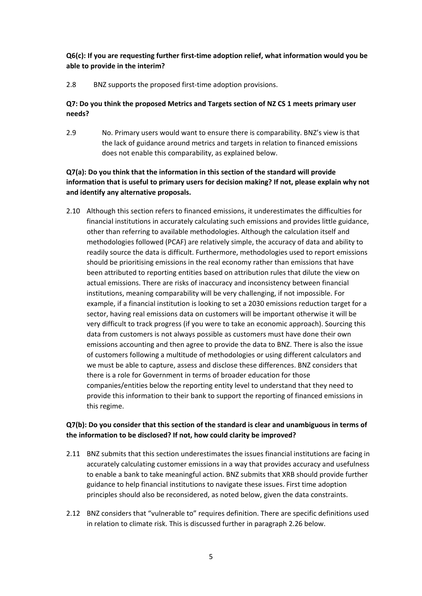**Q6(c): If you are requesting further first-time adoption relief, what information would you be able to provide in the interim?**

2.8 BNZ supports the proposed first-time adoption provisions.

# **Q7: Do you think the proposed Metrics and Targets section of NZ CS 1 meets primary user needs?**

2.9 No. Primary users would want to ensure there is comparability. BNZ's view is that the lack of guidance around metrics and targets in relation to financed emissions does not enable this comparability, as explained below.

# **Q7(a): Do you think that the information in this section of the standard will provide information that is useful to primary users for decision making? If not, please explain why not and identify any alternative proposals.**

2.10 Although this section refers to financed emissions, it underestimates the difficulties for financial institutions in accurately calculating such emissions and provides little guidance, other than referring to available methodologies. Although the calculation itself and methodologies followed (PCAF) are relatively simple, the accuracy of data and ability to readily source the data is difficult. Furthermore, methodologies used to report emissions should be prioritising emissions in the real economy rather than emissions that have been attributed to reporting entities based on attribution rules that dilute the view on actual emissions. There are risks of inaccuracy and inconsistency between financial institutions, meaning comparability will be very challenging, if not impossible. For example, if a financial institution is looking to set a 2030 emissions reduction target for a sector, having real emissions data on customers will be important otherwise it will be very difficult to track progress (if you were to take an economic approach). Sourcing this data from customers is not always possible as customers must have done their own emissions accounting and then agree to provide the data to BNZ. There is also the issue of customers following a multitude of methodologies or using different calculators and we must be able to capture, assess and disclose these differences. BNZ considers that there is a role for Government in terms of broader education for those companies/entities below the reporting entity level to understand that they need to provide this information to their bank to support the reporting of financed emissions in this regime.

# **Q7(b): Do you consider that this section of the standard is clear and unambiguous in terms of the information to be disclosed? If not, how could clarity be improved?**

- 2.11 BNZ submits that this section underestimates the issues financial institutions are facing in accurately calculating customer emissions in a way that provides accuracy and usefulness to enable a bank to take meaningful action. BNZ submits that XRB should provide further guidance to help financial institutions to navigate these issues. First time adoption principles should also be reconsidered, as noted below, given the data constraints.
- 2.12 BNZ considers that "vulnerable to" requires definition. There are specific definitions used in relation to climate risk. This is discussed further in paragraph 2.26 below.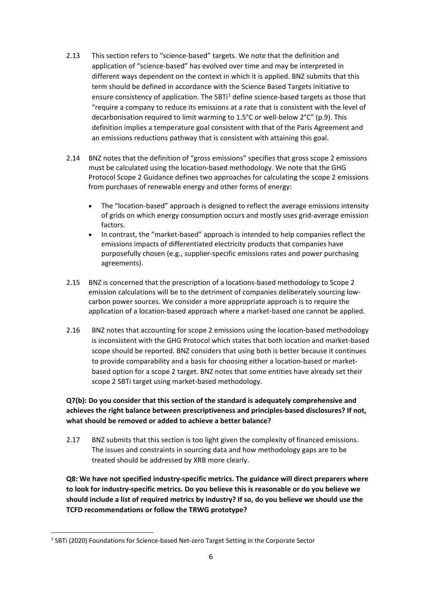- 2.13 This section refers to "science-based" targets. We note that the definition and application of "science-based" has evolved over time and may be interpreted in different ways dependent on the context in which it is applied. BNZ submits that this term should be defined in accordance with the Science Based Targets Initiative to ensure consistency of application. The SBTi<sup>[1](#page-5-0)</sup> define science-based targets as those that "require a company to reduce its emissions at a rate that is consistent with the level of decarbonisation required to limit warming to 1.5°C or well-below 2°C" (p.9). This definition implies a temperature goal consistent with that of the Paris Agreement and an emissions reductions pathway that is consistent with attaining this goal.
- 2.14 BNZ notes that the definition of "gross emissions" specifies that gross scope 2 emissions must be calculated using the location-based methodology. We note that the GHG Protocol Scope 2 Guidance defines two approaches for calculating the scope 2 emissions from purchases of renewable energy and other forms of energy:
	- The "location-based" approach is designed to reflect the average emissions intensity of grids on which energy consumption occurs and mostly uses grid-average emission factors.
	- In contrast, the "market-based" approach is intended to help companies reflect the emissions impacts of differentiated electricity products that companies have purposefully chosen (e.g., supplier-specific emissions rates and power purchasing agreements).
- 2.15 BNZ is concerned that the prescription of a locations-based methodology to Scope 2 emission calculations will be to the detriment of companies deliberately sourcing lowcarbon power sources. We consider a more appropriate approach is to require the application of a location-based approach where a market-based one cannot be applied.
- 2.16 BNZ notes that accounting for scope 2 emissions using the location-based methodology is inconsistent with the GHG Protocol which states that both location and market-based scope should be reported. BNZ considers that using both is better because it continues to provide comparability and a basis for choosing either a location-based or marketbased option for a scope 2 target. BNZ notes that some entities have already set their scope 2 SBTi target using market-based methodology.

# **Q7(b): Do you consider that this section of the standard is adequately comprehensive and achieves the right balance between prescriptiveness and principles-based disclosures? If not, what should be removed or added to achieve a better balance?**

2.17 BNZ submits that this section is too light given the complexity of financed emissions. The issues and constraints in sourcing data and how methodology gaps are to be treated should be addressed by XRB more clearly.

**Q8: We have not specified industry-specific metrics. The guidance will direct preparers where to look for industry-specific metrics. Do you believe this is reasonable or do you believe we should include a list of required metrics by industry? If so, do you believe we should use the TCFD recommendations or follow the TRWG prototype?**

<span id="page-5-0"></span><sup>&</sup>lt;sup>1</sup> SBTi (2020) Foundations for Science-based Net-zero Target Setting in the Corporate Sector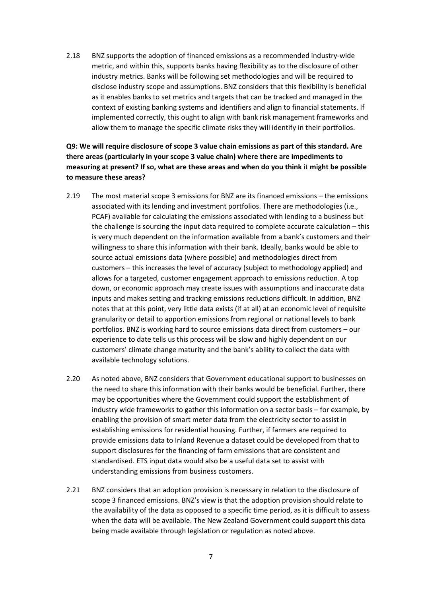2.18 BNZ supports the adoption of financed emissions as a recommended industry-wide metric, and within this, supports banks having flexibility as to the disclosure of other industry metrics. Banks will be following set methodologies and will be required to disclose industry scope and assumptions. BNZ considers that this flexibility is beneficial as it enables banks to set metrics and targets that can be tracked and managed in the context of existing banking systems and identifiers and align to financial statements. If implemented correctly, this ought to align with bank risk management frameworks and allow them to manage the specific climate risks they will identify in their portfolios.

**Q9: We will require disclosure of scope 3 value chain emissions as part of this standard. Are there areas (particularly in your scope 3 value chain) where there are impediments to measuring at present? If so, what are these areas and when do you think** it **might be possible to measure these areas?**

- 2.19 The most material scope 3 emissions for BNZ are its financed emissions the emissions associated with its lending and investment portfolios. There are methodologies (i.e., PCAF) available for calculating the emissions associated with lending to a business but the challenge is sourcing the input data required to complete accurate calculation – this is very much dependent on the information available from a bank's customers and their willingness to share this information with their bank. Ideally, banks would be able to source actual emissions data (where possible) and methodologies direct from customers – this increases the level of accuracy (subject to methodology applied) and allows for a targeted, customer engagement approach to emissions reduction. A top down, or economic approach may create issues with assumptions and inaccurate data inputs and makes setting and tracking emissions reductions difficult. In addition, BNZ notes that at this point, very little data exists (if at all) at an economic level of requisite granularity or detail to apportion emissions from regional or national levels to bank portfolios. BNZ is working hard to source emissions data direct from customers – our experience to date tells us this process will be slow and highly dependent on our customers' climate change maturity and the bank's ability to collect the data with available technology solutions.
- 2.20 As noted above, BNZ considers that Government educational support to businesses on the need to share this information with their banks would be beneficial. Further, there may be opportunities where the Government could support the establishment of industry wide frameworks to gather this information on a sector basis – for example, by enabling the provision of smart meter data from the electricity sector to assist in establishing emissions for residential housing. Further, if farmers are required to provide emissions data to Inland Revenue a dataset could be developed from that to support disclosures for the financing of farm emissions that are consistent and standardised. ETS input data would also be a useful data set to assist with understanding emissions from business customers.
- 2.21 BNZ considers that an adoption provision is necessary in relation to the disclosure of scope 3 financed emissions. BNZ's view is that the adoption provision should relate to the availability of the data as opposed to a specific time period, as it is difficult to assess when the data will be available. The New Zealand Government could support this data being made available through legislation or regulation as noted above.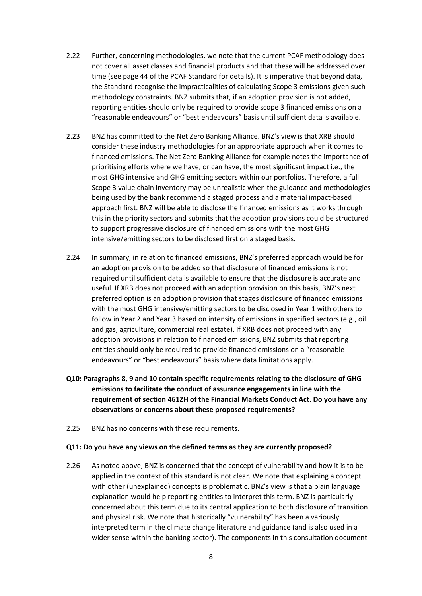- 2.22 Further, concerning methodologies, we note that the current PCAF methodology does not cover all asset classes and financial products and that these will be addressed over time (see page 44 of the PCAF Standard for details). It is imperative that beyond data, the Standard recognise the impracticalities of calculating Scope 3 emissions given such methodology constraints. BNZ submits that, if an adoption provision is not added, reporting entities should only be required to provide scope 3 financed emissions on a "reasonable endeavours" or "best endeavours" basis until sufficient data is available.
- 2.23 BNZ has committed to the Net Zero Banking Alliance. BNZ's view is that XRB should consider these industry methodologies for an appropriate approach when it comes to financed emissions. The Net Zero Banking Alliance for example notes the importance of prioritising efforts where we have, or can have, the most significant impact i.e., the most GHG intensive and GHG emitting sectors within our portfolios. Therefore, a full Scope 3 value chain inventory may be unrealistic when the guidance and methodologies being used by the bank recommend a staged process and a material impact-based approach first. BNZ will be able to disclose the financed emissions as it works through this in the priority sectors and submits that the adoption provisions could be structured to support progressive disclosure of financed emissions with the most GHG intensive/emitting sectors to be disclosed first on a staged basis.
- 2.24 In summary, in relation to financed emissions, BNZ's preferred approach would be for an adoption provision to be added so that disclosure of financed emissions is not required until sufficient data is available to ensure that the disclosure is accurate and useful. If XRB does not proceed with an adoption provision on this basis, BNZ's next preferred option is an adoption provision that stages disclosure of financed emissions with the most GHG intensive/emitting sectors to be disclosed in Year 1 with others to follow in Year 2 and Year 3 based on intensity of emissions in specified sectors (e.g., oil and gas, agriculture, commercial real estate). If XRB does not proceed with any adoption provisions in relation to financed emissions, BNZ submits that reporting entities should only be required to provide financed emissions on a "reasonable endeavours" or "best endeavours" basis where data limitations apply.
- **Q10: Paragraphs 8, 9 and 10 contain specific requirements relating to the disclosure of GHG emissions to facilitate the conduct of assurance engagements in line with the requirement of section 461ZH of the Financial Markets Conduct Act. Do you have any observations or concerns about these proposed requirements?**
- 2.25 BNZ has no concerns with these requirements.

#### **Q11: Do you have any views on the defined terms as they are currently proposed?**

2.26 As noted above, BNZ is concerned that the concept of vulnerability and how it is to be applied in the context of this standard is not clear. We note that explaining a concept with other (unexplained) concepts is problematic. BNZ's view is that a plain language explanation would help reporting entities to interpret this term. BNZ is particularly concerned about this term due to its central application to both disclosure of transition and physical risk. We note that historically "vulnerability" has been a variously interpreted term in the climate change literature and guidance (and is also used in a wider sense within the banking sector). The components in this consultation document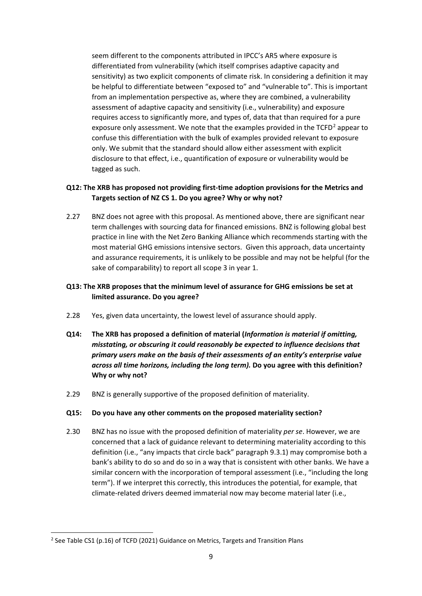seem different to the components attributed in IPCC's AR5 where exposure is differentiated from vulnerability (which itself comprises adaptive capacity and sensitivity) as two explicit components of climate risk. In considering a definition it may be helpful to differentiate between "exposed to" and "vulnerable to". This is important from an implementation perspective as, where they are combined, a vulnerability assessment of adaptive capacity and sensitivity (i.e., vulnerability) and exposure requires access to significantly more, and types of, data that than required for a pure exposure only assessment. We note that the examples provided in the  $TCFD<sup>2</sup>$  $TCFD<sup>2</sup>$  $TCFD<sup>2</sup>$  appear to confuse this differentiation with the bulk of examples provided relevant to exposure only. We submit that the standard should allow either assessment with explicit disclosure to that effect, i.e., quantification of exposure or vulnerability would be tagged as such.

### **Q12: The XRB has proposed not providing first-time adoption provisions for the Metrics and Targets section of NZ CS 1. Do you agree? Why or why not?**

2.27 BNZ does not agree with this proposal. As mentioned above, there are significant near term challenges with sourcing data for financed emissions. BNZ is following global best practice in line with the Net Zero Banking Alliance which recommends starting with the most material GHG emissions intensive sectors. Given this approach, data uncertainty and assurance requirements, it is unlikely to be possible and may not be helpful (for the sake of comparability) to report all scope 3 in year 1.

### **Q13: The XRB proposes that the minimum level of assurance for GHG emissions be set at limited assurance. Do you agree?**

- 2.28 Yes, given data uncertainty, the lowest level of assurance should apply.
- **Q14: The XRB has proposed a definition of material (***Information is material if omitting, misstating, or obscuring it could reasonably be expected to influence decisions that primary users make on the basis of their assessments of an entity's enterprise value across all time horizons, including the long term).* **Do you agree with this definition? Why or why not?**
- 2.29 BNZ is generally supportive of the proposed definition of materiality.

#### **Q15: Do you have any other comments on the proposed materiality section?**

2.30 BNZ has no issue with the proposed definition of materiality *per se*. However, we are concerned that a lack of guidance relevant to determining materiality according to this definition (i.e., "any impacts that circle back" paragraph 9.3.1) may compromise both a bank's ability to do so and do so in a way that is consistent with other banks. We have a similar concern with the incorporation of temporal assessment (i.e., "including the long term"). If we interpret this correctly, this introduces the potential, for example, that climate-related drivers deemed immaterial now may become material later (i.e.,

<span id="page-8-0"></span><sup>&</sup>lt;sup>2</sup> See Table CS1 (p.16) of TCFD (2021) Guidance on Metrics, Targets and Transition Plans